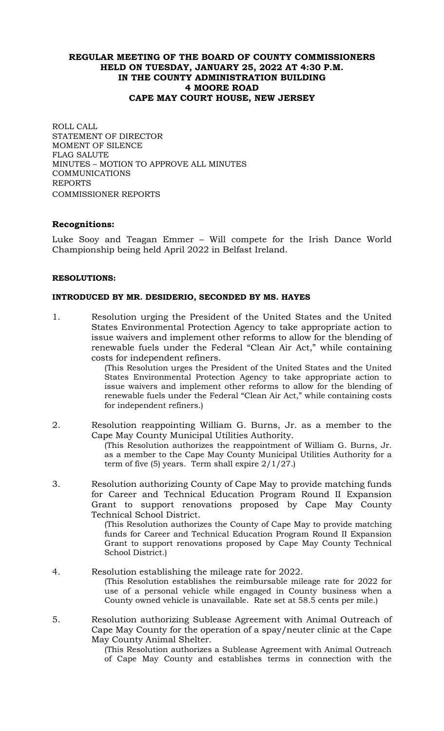# **REGULAR MEETING OF THE BOARD OF COUNTY COMMISSIONERS HELD ON TUESDAY, JANUARY 25, 2022 AT 4:30 P.M. IN THE COUNTY ADMINISTRATION BUILDING 4 MOORE ROAD CAPE MAY COURT HOUSE, NEW JERSEY**

ROLL CALL STATEMENT OF DIRECTOR MOMENT OF SILENCE FLAG SALUTE MINUTES – MOTION TO APPROVE ALL MINUTES COMMUNICATIONS REPORTS COMMISSIONER REPORTS

# **Recognitions:**

Luke Sooy and Teagan Emmer – Will compete for the Irish Dance World Championship being held April 2022 in Belfast Ireland.

## **RESOLUTIONS:**

## **INTRODUCED BY MR. DESIDERIO, SECONDED BY MS. HAYES**

1. Resolution urging the President of the United States and the United States Environmental Protection Agency to take appropriate action to issue waivers and implement other reforms to allow for the blending of renewable fuels under the Federal "Clean Air Act," while containing costs for independent refiners.

(This Resolution urges the President of the United States and the United States Environmental Protection Agency to take appropriate action to issue waivers and implement other reforms to allow for the blending of renewable fuels under the Federal "Clean Air Act," while containing costs for independent refiners.)

- 2. Resolution reappointing William G. Burns, Jr. as a member to the Cape May County Municipal Utilities Authority. (This Resolution authorizes the reappointment of William G. Burns, Jr. as a member to the Cape May County Municipal Utilities Authority for a term of five  $(5)$  years. Term shall expire  $2/1/27$ .
- 3. Resolution authorizing County of Cape May to provide matching funds for Career and Technical Education Program Round II Expansion Grant to support renovations proposed by Cape May County Technical School District.

(This Resolution authorizes the County of Cape May to provide matching funds for Career and Technical Education Program Round II Expansion Grant to support renovations proposed by Cape May County Technical School District.)

- 4. Resolution establishing the mileage rate for 2022. (This Resolution establishes the reimbursable mileage rate for 2022 for use of a personal vehicle while engaged in County business when a County owned vehicle is unavailable. Rate set at 58.5 cents per mile.)
- 5. Resolution authorizing Sublease Agreement with Animal Outreach of Cape May County for the operation of a spay/neuter clinic at the Cape May County Animal Shelter.

(This Resolution authorizes a Sublease Agreement with Animal Outreach of Cape May County and establishes terms in connection with the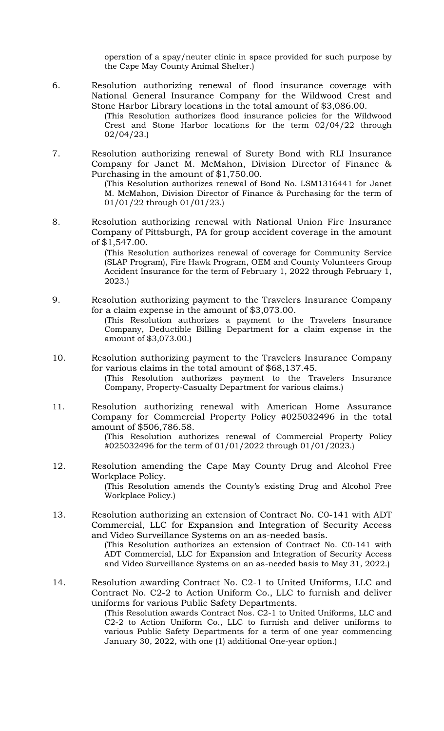operation of a spay/neuter clinic in space provided for such purpose by the Cape May County Animal Shelter.)

6. Resolution authorizing renewal of flood insurance coverage with National General Insurance Company for the Wildwood Crest and Stone Harbor Library locations in the total amount of \$3,086.00.

(This Resolution authorizes flood insurance policies for the Wildwood Crest and Stone Harbor locations for the term 02/04/22 through 02/04/23.)

7. Resolution authorizing renewal of Surety Bond with RLI Insurance Company for Janet M. McMahon, Division Director of Finance & Purchasing in the amount of \$1,750.00.

(This Resolution authorizes renewal of Bond No. LSM1316441 for Janet M. McMahon, Division Director of Finance & Purchasing for the term of 01/01/22 through 01/01/23.)

8. Resolution authorizing renewal with National Union Fire Insurance Company of Pittsburgh, PA for group accident coverage in the amount of \$1,547.00.

> (This Resolution authorizes renewal of coverage for Community Service (SLAP Program), Fire Hawk Program, OEM and County Volunteers Group Accident Insurance for the term of February 1, 2022 through February 1, 2023.)

- 9. Resolution authorizing payment to the Travelers Insurance Company for a claim expense in the amount of \$3,073.00. (This Resolution authorizes a payment to the Travelers Insurance Company, Deductible Billing Department for a claim expense in the amount of \$3,073.00.)
- 10. Resolution authorizing payment to the Travelers Insurance Company for various claims in the total amount of \$68,137.45. (This Resolution authorizes payment to the Travelers Insurance Company, Property-Casualty Department for various claims.)
- 11. Resolution authorizing renewal with American Home Assurance Company for Commercial Property Policy #025032496 in the total amount of \$506,786.58.

(This Resolution authorizes renewal of Commercial Property Policy #025032496 for the term of 01/01/2022 through 01/01/2023.)

- 12. Resolution amending the Cape May County Drug and Alcohol Free Workplace Policy. (This Resolution amends the County's existing Drug and Alcohol Free Workplace Policy.)
- 13. Resolution authorizing an extension of Contract No. C0-141 with ADT Commercial, LLC for Expansion and Integration of Security Access and Video Surveillance Systems on an as-needed basis.

(This Resolution authorizes an extension of Contract No. C0-141 with ADT Commercial, LLC for Expansion and Integration of Security Access and Video Surveillance Systems on an as-needed basis to May 31, 2022.)

14. Resolution awarding Contract No. C2-1 to United Uniforms, LLC and Contract No. C2-2 to Action Uniform Co., LLC to furnish and deliver uniforms for various Public Safety Departments.

(This Resolution awards Contract Nos. C2-1 to United Uniforms, LLC and C2-2 to Action Uniform Co., LLC to furnish and deliver uniforms to various Public Safety Departments for a term of one year commencing January 30, 2022, with one (1) additional One-year option.)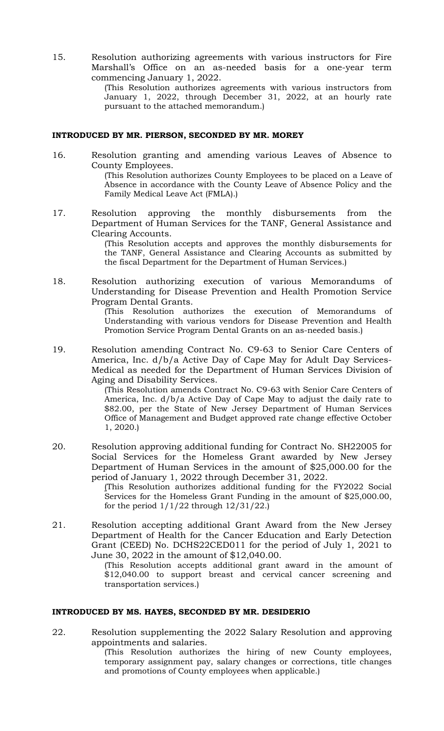15. Resolution authorizing agreements with various instructors for Fire Marshall's Office on an as-needed basis for a one-year term commencing January 1, 2022.

> (This Resolution authorizes agreements with various instructors from January 1, 2022, through December 31, 2022, at an hourly rate pursuant to the attached memorandum.)

#### **INTRODUCED BY MR. PIERSON, SECONDED BY MR. MOREY**

- 16. Resolution granting and amending various Leaves of Absence to County Employees. (This Resolution authorizes County Employees to be placed on a Leave of Absence in accordance with the County Leave of Absence Policy and the Family Medical Leave Act (FMLA).)
- 17. Resolution approving the monthly disbursements from the Department of Human Services for the TANF, General Assistance and Clearing Accounts.

(This Resolution accepts and approves the monthly disbursements for the TANF, General Assistance and Clearing Accounts as submitted by the fiscal Department for the Department of Human Services.)

18. Resolution authorizing execution of various Memorandums of Understanding for Disease Prevention and Health Promotion Service Program Dental Grants.

> (This Resolution authorizes the execution of Memorandums of Understanding with various vendors for Disease Prevention and Health Promotion Service Program Dental Grants on an as-needed basis.)

19. Resolution amending Contract No. C9-63 to Senior Care Centers of America, Inc. d/b/a Active Day of Cape May for Adult Day Services-Medical as needed for the Department of Human Services Division of Aging and Disability Services.

> (This Resolution amends Contract No. C9-63 with Senior Care Centers of America, Inc. d/b/a Active Day of Cape May to adjust the daily rate to \$82.00, per the State of New Jersey Department of Human Services Office of Management and Budget approved rate change effective October 1, 2020.)

20. Resolution approving additional funding for Contract No. SH22005 for Social Services for the Homeless Grant awarded by New Jersey Department of Human Services in the amount of \$25,000.00 for the period of January 1, 2022 through December 31, 2022.

(This Resolution authorizes additional funding for the FY2022 Social Services for the Homeless Grant Funding in the amount of \$25,000.00, for the period  $1/1/22$  through  $12/31/22$ .)

21. Resolution accepting additional Grant Award from the New Jersey Department of Health for the Cancer Education and Early Detection Grant (CEED) No. DCHS22CED011 for the period of July 1, 2021 to June 30, 2022 in the amount of \$12,040.00.

(This Resolution accepts additional grant award in the amount of \$12,040.00 to support breast and cervical cancer screening and transportation services.)

## **INTRODUCED BY MS. HAYES, SECONDED BY MR. DESIDERIO**

22. Resolution supplementing the 2022 Salary Resolution and approving appointments and salaries.

(This Resolution authorizes the hiring of new County employees, temporary assignment pay, salary changes or corrections, title changes and promotions of County employees when applicable.)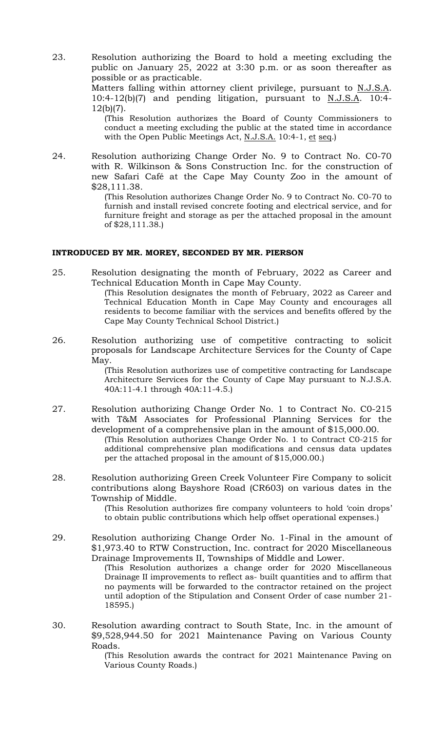23. Resolution authorizing the Board to hold a meeting excluding the public on January 25, 2022 at 3:30 p.m. or as soon thereafter as possible or as practicable.

Matters falling within attorney client privilege, pursuant to N.J.S.A. 10:4-12(b)(7) and pending litigation, pursuant to N.J.S.A. 10:4- 12(b)(7).

(This Resolution authorizes the Board of County Commissioners to conduct a meeting excluding the public at the stated time in accordance with the Open Public Meetings Act, N.J.S.A. 10:4-1, et seq.)

24. Resolution authorizing Change Order No. 9 to Contract No. C0-70 with R. Wilkinson & Sons Construction Inc. for the construction of new Safari Café at the Cape May County Zoo in the amount of \$28,111.38.

> (This Resolution authorizes Change Order No. 9 to Contract No. C0-70 to furnish and install revised concrete footing and electrical service, and for furniture freight and storage as per the attached proposal in the amount of \$28,111.38.)

## **INTRODUCED BY MR. MOREY, SECONDED BY MR. PIERSON**

- 25. Resolution designating the month of February, 2022 as Career and Technical Education Month in Cape May County. (This Resolution designates the month of February, 2022 as Career and Technical Education Month in Cape May County and encourages all residents to become familiar with the services and benefits offered by the Cape May County Technical School District.)
- 26. Resolution authorizing use of competitive contracting to solicit proposals for Landscape Architecture Services for the County of Cape May.

(This Resolution authorizes use of competitive contracting for Landscape Architecture Services for the County of Cape May pursuant to N.J.S.A. 40A:11-4.1 through 40A:11-4.5.)

- 27. Resolution authorizing Change Order No. 1 to Contract No. C0-215 with T&M Associates for Professional Planning Services for the development of a comprehensive plan in the amount of \$15,000.00. (This Resolution authorizes Change Order No. 1 to Contract C0-215 for additional comprehensive plan modifications and census data updates per the attached proposal in the amount of \$15,000.00.)
- 28. Resolution authorizing Green Creek Volunteer Fire Company to solicit contributions along Bayshore Road (CR603) on various dates in the Township of Middle.

(This Resolution authorizes fire company volunteers to hold 'coin drops' to obtain public contributions which help offset operational expenses.)

- 29. Resolution authorizing Change Order No. 1-Final in the amount of \$1,973.40 to RTW Construction, Inc. contract for 2020 Miscellaneous Drainage Improvements II, Townships of Middle and Lower. (This Resolution authorizes a change order for 2020 Miscellaneous Drainage II improvements to reflect as- built quantities and to affirm that no payments will be forwarded to the contractor retained on the project until adoption of the Stipulation and Consent Order of case number 21- 18595.)
- 30. Resolution awarding contract to South State, Inc. in the amount of \$9,528,944.50 for 2021 Maintenance Paving on Various County Roads.

(This Resolution awards the contract for 2021 Maintenance Paving on Various County Roads.)